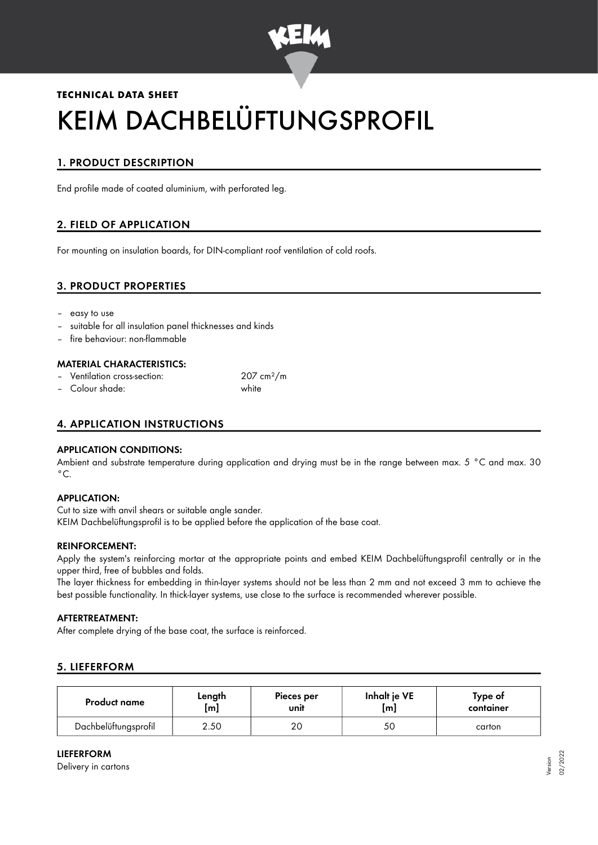

# **TECHNICAL DATA SHEET** KEIM DACHBELÜFTUNGSPROFIL

# 1. PRODUCT DESCRIPTION

End profile made of coated aluminium, with perforated leg.

# 2. FIELD OF APPLICATION

For mounting on insulation boards, for DIN-compliant roof ventilation of cold roofs.

## 3. PRODUCT PROPERTIES

- easy to use
- suitable for all insulation panel thicknesses and kinds
- fire behaviour: non-flammable

#### MATERIAL CHARACTERISTICS:

- Ventilation cross-section: 207 cm²/m
- Colour shade: white

### 4. APPLICATION INSTRUCTIONS

#### APPLICATION CONDITIONS:

Ambient and substrate temperature during application and drying must be in the range between max. 5 °C and max. 30  $^{\circ}$ C.

#### APPLICATION:

Cut to size with anvil shears or suitable angle sander. KEIM Dachbelüftungsprofil is to be applied before the application of the base coat.

#### REINFORCEMENT:

Apply the system's reinforcing mortar at the appropriate points and embed KEIM Dachbelüftungsprofil centrally or in the upper third, free of bubbles and folds.

The layer thickness for embedding in thin-layer systems should not be less than 2 mm and not exceed 3 mm to achieve the best possible functionality. In thick-layer systems, use close to the surface is recommended wherever possible.

#### AFTERTREATMENT:

After complete drying of the base coat, the surface is reinforced.

#### 5. LIEFERFORM

| <b>Product name</b>  | Length           | Pieces per | Inhalt je VE | Type of   |
|----------------------|------------------|------------|--------------|-----------|
|                      | [ <sub>m</sub> ] | unit       | [m]          | container |
| Dachbelüftungsprofil | 2.50             |            | 50           | carton    |

#### LIEFERFORM

Delivery in cartons